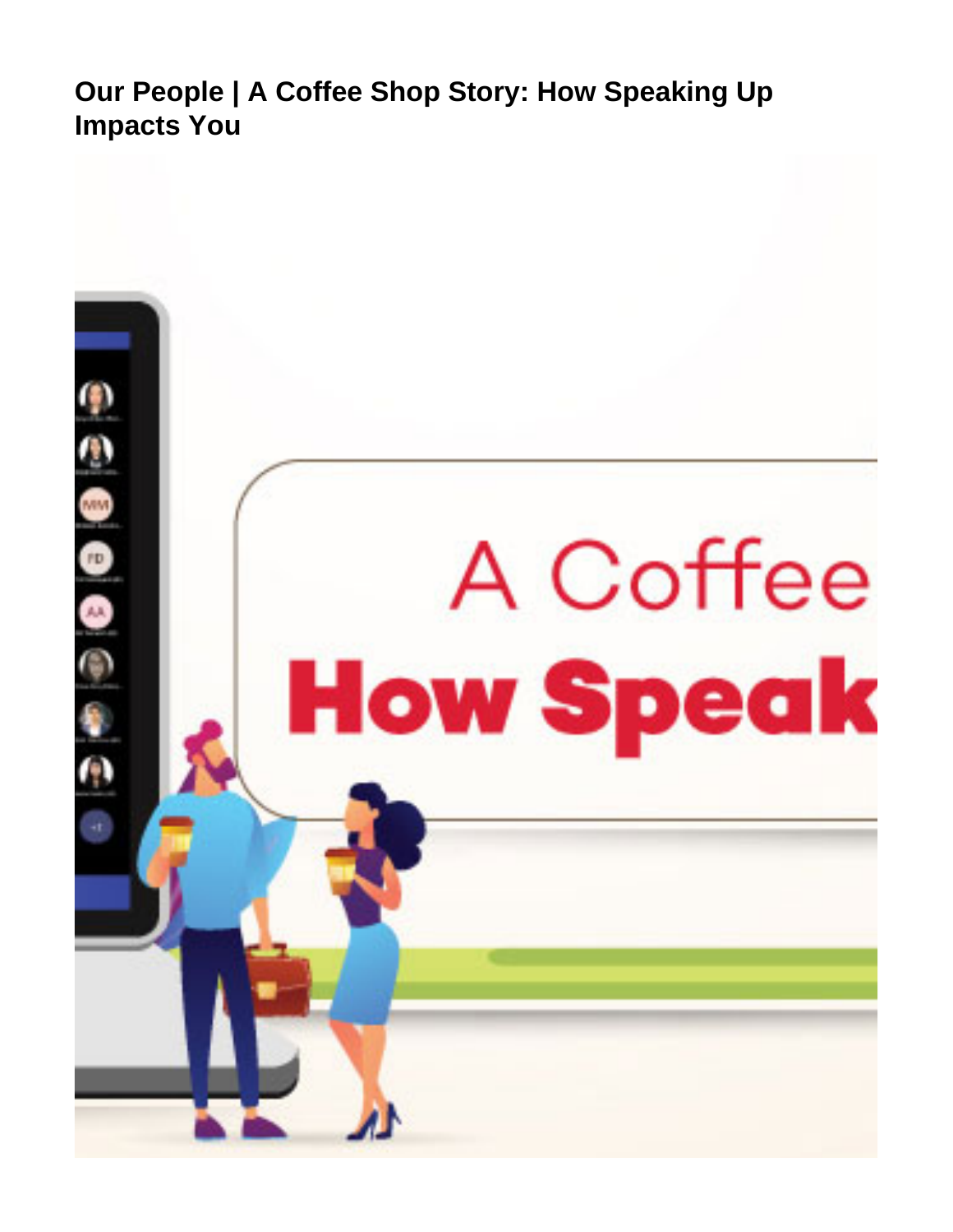<span id="page-0-0"></span>**Our People | A Coffee Shop Story: How Speaking Up Impacts You**

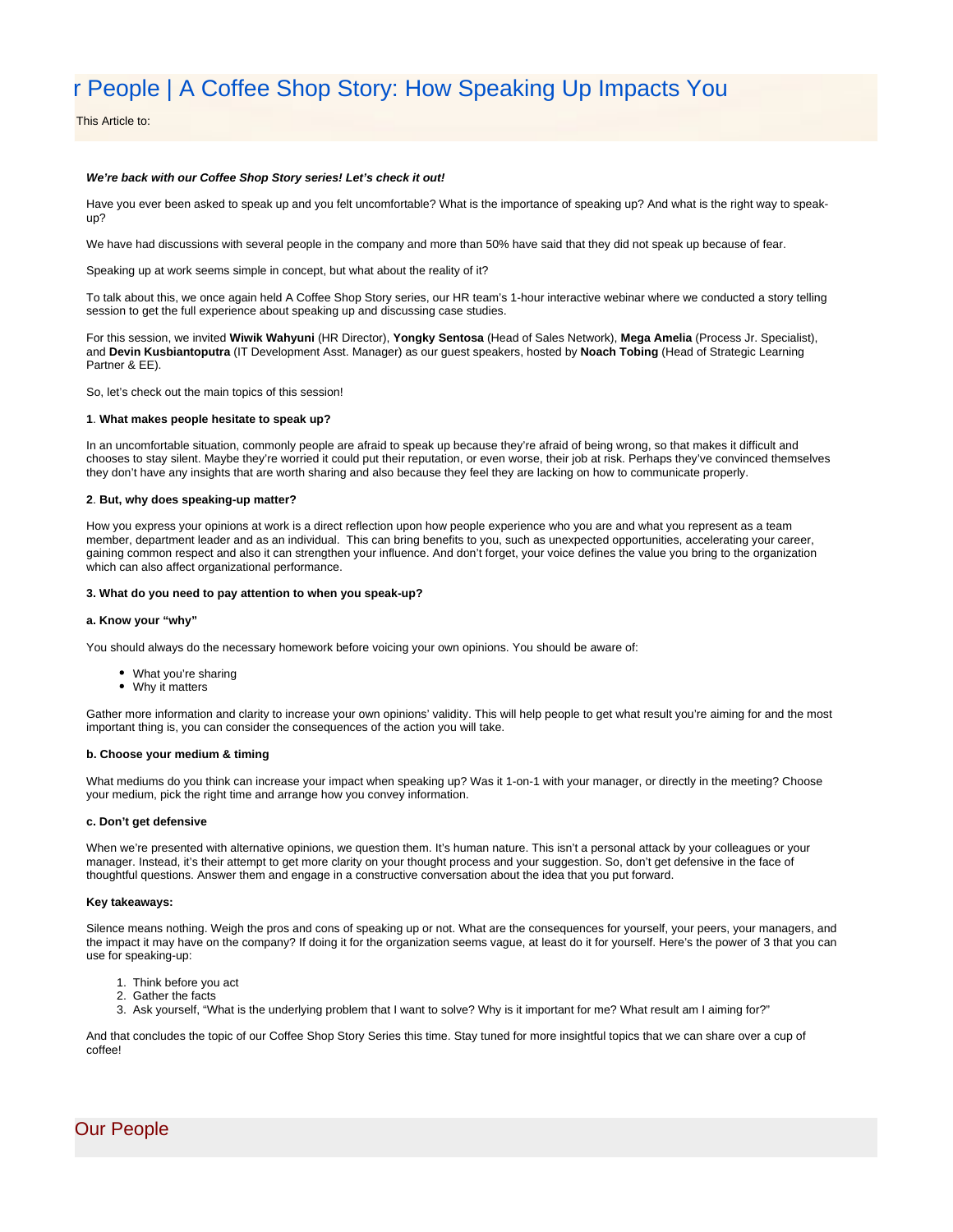# r People | A Coffee Shop Story: How Speaking Up Impacts You

This Article to:

# **We're back with our Coffee Shop Story series! Let's check it out!**

Have you ever been asked to speak up and you felt uncomfortable? What is the importance of speaking up? And what is the right way to speakup?

We have had discussions with several people in the company and more than 50% have said that they did not speak up because of fear.

Speaking up at work seems simple in concept, but what about the reality of it?

To talk about this, we once again held A Coffee Shop Story series, our HR team's 1-hour interactive webinar where we conducted a story telling session to get the full experience about speaking up and discussing case studies.

For this session, we invited **Wiwik Wahyuni** (HR Director), **Yongky Sentosa** (Head of Sales Network), **Mega Amelia** (Process Jr. Specialist), and **Devin Kusbiantoputra** (IT Development Asst. Manager) as our guest speakers, hosted by **Noach Tobing** (Head of Strategic Learning Partner & EE).

So, let's check out the main topics of this session!

# **1**. **What makes people hesitate to speak up?**

In an uncomfortable situation, commonly people are afraid to speak up because they're afraid of being wrong, so that makes it difficult and chooses to stay silent. Maybe they're worried it could put their reputation, or even worse, their job at risk. Perhaps they've convinced themselves they don't have any insights that are worth sharing and also because they feel they are lacking on how to communicate properly.

#### **2**. **But, why does speaking-up matter?**

How you express your opinions at work is a direct reflection upon how people experience who you are and what you represent as a team member, department leader and as an individual. This can bring benefits to you, such as unexpected opportunities, accelerating your career, gaining common respect and also it can strengthen your influence. And don't forget, your voice defines the value you bring to the organization which can also affect organizational performance.

#### **3. What do you need to pay attention to when you speak-up?**

# **a. Know your "why"**

You should always do the necessary homework before voicing your own opinions. You should be aware of:

- What you're sharing
- Why it matters

Gather more information and clarity to increase your own opinions' validity. This will help people to get what result you're aiming for and the most important thing is, you can consider the consequences of the action you will take.

### **b. Choose your medium & timing**

What mediums do you think can increase your impact when speaking up? Was it 1-on-1 with your manager, or directly in the meeting? Choose your medium, pick the right time and arrange how you convey information.

## **c. Don't get defensive**

When we're presented with alternative opinions, we question them. It's human nature. This isn't a personal attack by your colleagues or your manager. Instead, it's their attempt to get more clarity on your thought process and your suggestion. So, don't get defensive in the face of thoughtful questions. Answer them and engage in a constructive conversation about the idea that you put forward.

#### **Key takeaways:**

Silence means nothing. Weigh the pros and cons of speaking up or not. What are the consequences for yourself, your peers, your managers, and the impact it may have on the company? If doing it for the organization seems vague, at least do it for yourself. Here's the power of 3 that you can use for speaking-up:

- 1. Think before you act
- 2. Gather the facts
- 3. Ask yourself, "What is the underlying problem that I want to solve? Why is it important for me? What result am I aiming for?"

And that concludes the topic of our Coffee Shop Story Series this time. Stay tuned for more insightful topics that we can share over a cup of coffee!